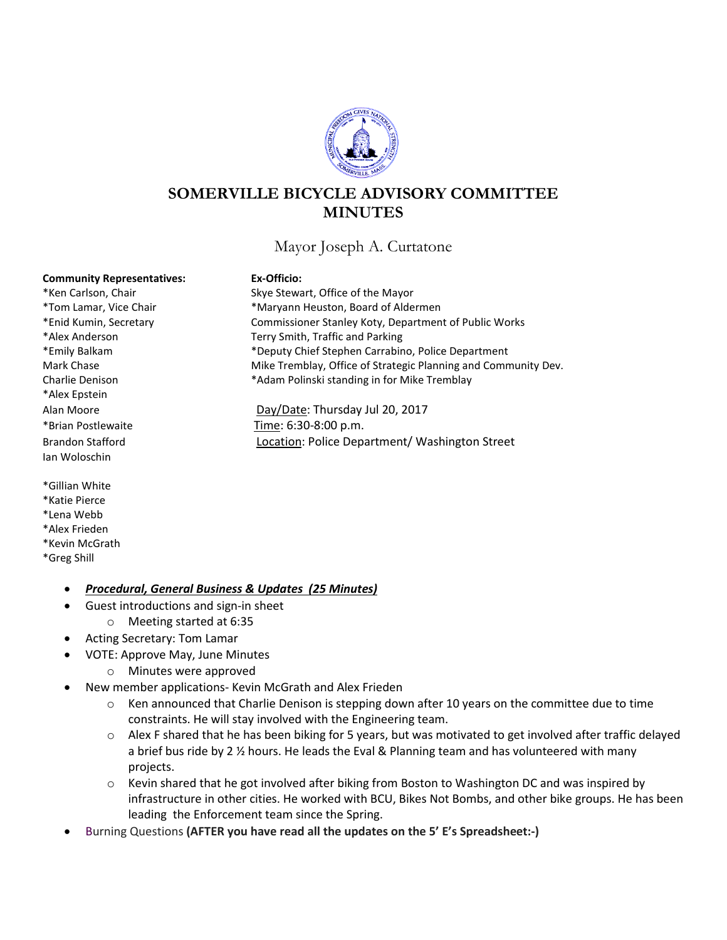

# **SOMERVILLE BICYCLE ADVISORY COMMITTEE MINUTES**

Mayor Joseph A. Curtatone

#### **Community Representatives: Ex-Officio:**

\*Alex Epstein \*Brian Postlewaite Time: 6:30-8:00 p.m. Ian Woloschin

\*Gillian White \*Katie Pierce \*Lena Webb \*Alex Frieden \*Kevin McGrath \*Greg Shill

\*Ken Carlson, Chair Skye Stewart, Office of the Mayor \*Tom Lamar, Vice Chair \*Maryann Heuston, Board of Aldermen \*Enid Kumin, Secretary Commissioner Stanley Koty, Department of Public Works \*Alex Anderson Terry Smith, Traffic and Parking \*Emily Balkam \*Deputy Chief Stephen Carrabino, Police Department Mark Chase **Mike Tremblay, Office of Strategic Planning and Community Dev.** Charlie Denison **\***Adam Polinski standing in for Mike Tremblay

Alan Moore Day/Date: Thursday Jul 20, 2017 Brandon Stafford **Location: Police Department/ Washington Street** 

- *Procedural, General Business & Updates (25 Minutes)*
	- Guest introductions and sign-in sheet
	- o Meeting started at 6:35
- Acting Secretary: Tom Lamar
- VOTE: Approve May, June Minutes
	- o Minutes were approved
- New member applications- Kevin McGrath and Alex Frieden
	- $\circ$  Ken announced that Charlie Denison is stepping down after 10 years on the committee due to time constraints. He will stay involved with the Engineering team.
	- $\circ$  Alex F shared that he has been biking for 5 years, but was motivated to get involved after traffic delayed a brief bus ride by 2 ½ hours. He leads the Eval & Planning team and has volunteered with many projects.
	- $\circ$  Kevin shared that he got involved after biking from Boston to Washington DC and was inspired by infrastructure in other cities. He worked with BCU, Bikes Not Bombs, and other bike groups. He has been leading the Enforcement team since the Spring.
- Burning Questions **(AFTER you have read all the updates on the 5' E's Spreadsheet:-)**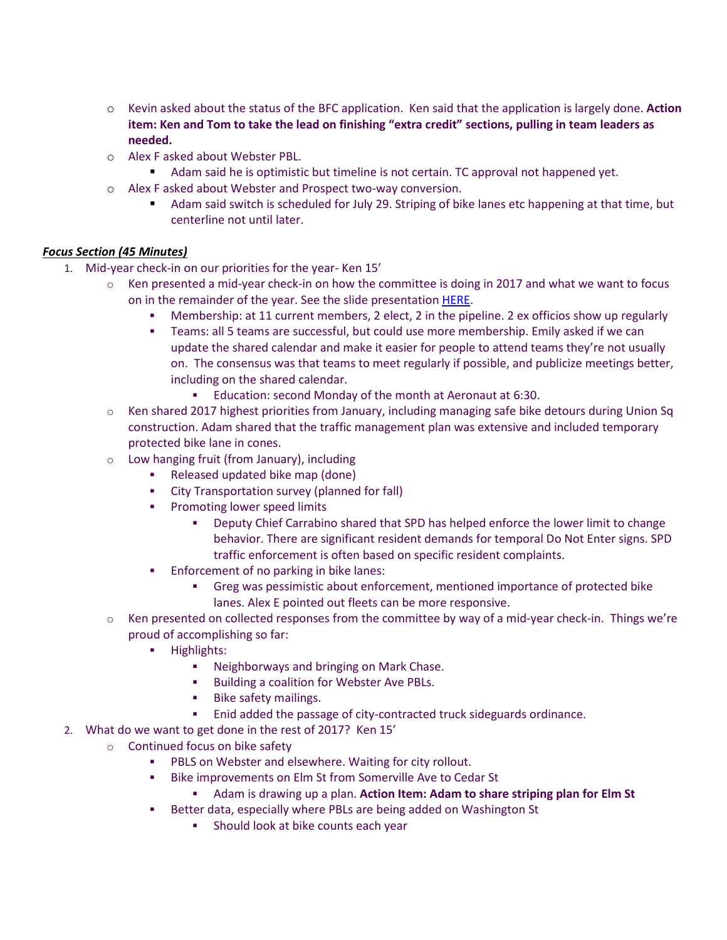- o Kevin asked about the status of the BFC application. Ken said that the application is largely done. **Action item: Ken and Tom to take the lead on finishing "extra credit" sections, pulling in team leaders as needed.**
- o Alex F asked about Webster PBL.
	- Adam said he is optimistic but timeline is not certain. TC approval not happened yet.
- o Alex F asked about Webster and Prospect two-way conversion.
	- Adam said switch is scheduled for July 29. Striping of bike lanes etc happening at that time, but centerline not until later.

## *Focus Section (45 Minutes)*

- 1. Mid-year check-in on our priorities for the year- Ken 15'
	- $\circ$  Ken presented a mid-year check-in on how the committee is doing in 2017 and what we want to focus on in the remainder of the year. See the slide presentation [HERE.](http://www.somervillebikes.org/uploads/1/7/6/6/17660777/sbac_slides_07-18-2017.pptx)
		- Membership: at 11 current members, 2 elect, 2 in the pipeline. 2 ex officios show up regularly
		- Teams: all 5 teams are successful, but could use more membership. Emily asked if we can update the shared calendar and make it easier for people to attend teams they're not usually on. The consensus was that teams to meet regularly if possible, and publicize meetings better, including on the shared calendar.
			- Education: second Monday of the month at Aeronaut at 6:30.
	- o Ken shared 2017 highest priorities from January, including managing safe bike detours during Union Sq construction. Adam shared that the traffic management plan was extensive and included temporary protected bike lane in cones.
	- o Low hanging fruit (from January), including
		- **Released updated bike map (done)**
		- City Transportation survey (planned for fall)
		- **•** Promoting lower speed limits
			- Deputy Chief Carrabino shared that SPD has helped enforce the lower limit to change behavior. There are significant resident demands for temporal Do Not Enter signs. SPD traffic enforcement is often based on specific resident complaints.
		- **Enforcement of no parking in bike lanes:** 
			- Greg was pessimistic about enforcement, mentioned importance of protected bike lanes. Alex E pointed out fleets can be more responsive.
	- $\circ$  Ken presented on collected responses from the committee by way of a mid-year check-in. Things we're proud of accomplishing so far:
		- **Highlights:** 
			- **Neighborways and bringing on Mark Chase.**
			- **Building a coalition for Webster Ave PBLs.**
			- **Bike safety mailings.**
			- Enid added the passage of city-contracted truck sideguards ordinance.
- 2. What do we want to get done in the rest of 2017? Ken 15'
	- o Continued focus on bike safety
		- PBLS on Webster and elsewhere. Waiting for city rollout.
		- **Bike improvements on Elm St from Somerville Ave to Cedar St** 
			- Adam is drawing up a plan. **Action Item: Adam to share striping plan for Elm St**
		- **Better data, especially where PBLs are being added on Washington St** 
			- **Should look at bike counts each year**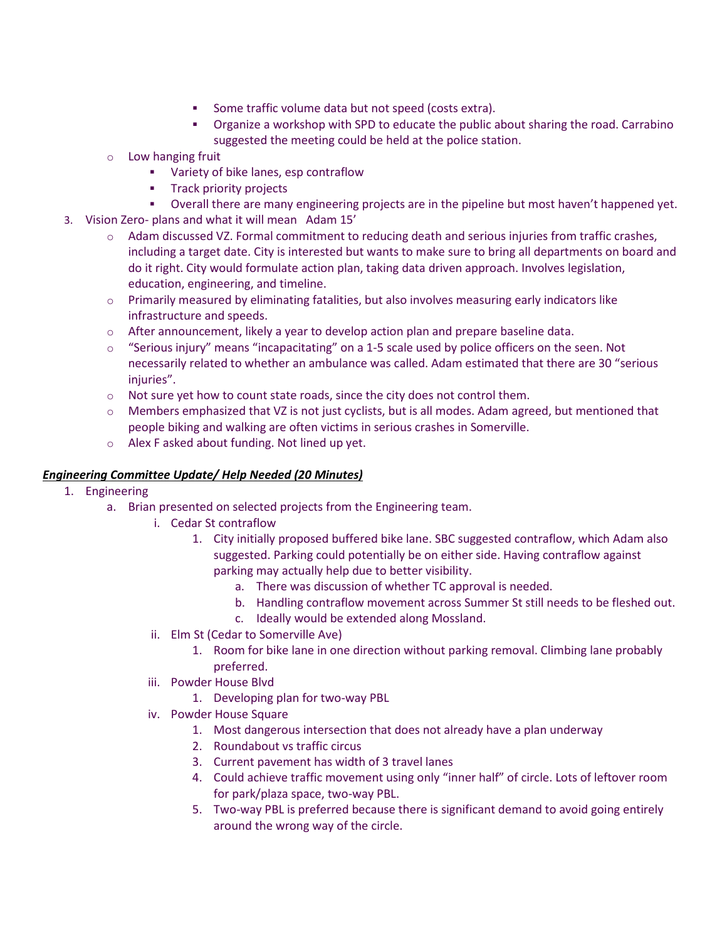- Some traffic volume data but not speed (costs extra).
- Organize a workshop with SPD to educate the public about sharing the road. Carrabino suggested the meeting could be held at the police station.
- o Low hanging fruit
	- Variety of bike lanes, esp contraflow
	- **Track priority projects**
	- Overall there are many engineering projects are in the pipeline but most haven't happened yet.
- 3. Vision Zero- plans and what it will mean Adam 15'
	- $\circ$  Adam discussed VZ. Formal commitment to reducing death and serious injuries from traffic crashes, including a target date. City is interested but wants to make sure to bring all departments on board and do it right. City would formulate action plan, taking data driven approach. Involves legislation, education, engineering, and timeline.
	- o Primarily measured by eliminating fatalities, but also involves measuring early indicators like infrastructure and speeds.
	- $\circ$  After announcement, likely a year to develop action plan and prepare baseline data.
	- $\circ$  "Serious injury" means "incapacitating" on a 1-5 scale used by police officers on the seen. Not necessarily related to whether an ambulance was called. Adam estimated that there are 30 "serious injuries".
	- $\circ$  Not sure yet how to count state roads, since the city does not control them.
	- $\circ$  Members emphasized that VZ is not just cyclists, but is all modes. Adam agreed, but mentioned that people biking and walking are often victims in serious crashes in Somerville.
	- o Alex F asked about funding. Not lined up yet.

### *Engineering Committee Update/ Help Needed (20 Minutes)*

- 1. Engineering
	- a. Brian presented on selected projects from the Engineering team.
		- i. Cedar St contraflow
			- 1. City initially proposed buffered bike lane. SBC suggested contraflow, which Adam also suggested. Parking could potentially be on either side. Having contraflow against parking may actually help due to better visibility.
				- a. There was discussion of whether TC approval is needed.
				- b. Handling contraflow movement across Summer St still needs to be fleshed out.
				- c. Ideally would be extended along Mossland.
		- ii. Elm St (Cedar to Somerville Ave)
			- 1. Room for bike lane in one direction without parking removal. Climbing lane probably preferred.
		- iii. Powder House Blvd
			- 1. Developing plan for two-way PBL
		- iv. Powder House Square
			- 1. Most dangerous intersection that does not already have a plan underway
			- 2. Roundabout vs traffic circus
			- 3. Current pavement has width of 3 travel lanes
			- 4. Could achieve traffic movement using only "inner half" of circle. Lots of leftover room for park/plaza space, two-way PBL.
			- 5. Two-way PBL is preferred because there is significant demand to avoid going entirely around the wrong way of the circle.